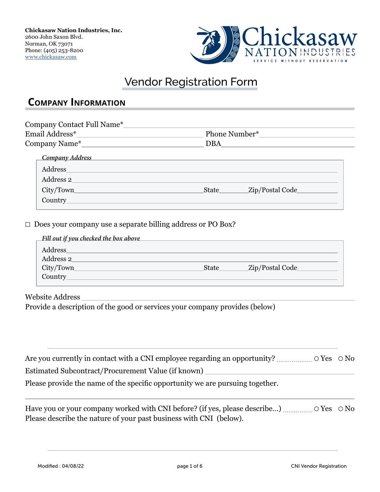

# Vendor Registration Form

### **Company Information**

| Company Contact Full Name*_____ |                          |
|---------------------------------|--------------------------|
|                                 | Phone Number*            |
|                                 | DBA                      |
| Company Address                 |                          |
| Address                         |                          |
| Address 2                       |                          |
| City/Town                       | Zip/Postal Code<br>State |
| Country_                        |                          |
|                                 |                          |

☐ Does your company use a separate billing address or PO Box?

| Fill out if you checked the box above |              |                 |
|---------------------------------------|--------------|-----------------|
| <b>Address</b>                        |              |                 |
| Address 2                             |              |                 |
| City/Town                             | <b>State</b> | Zip/Postal Code |
| <b>Country</b>                        |              |                 |
|                                       |              |                 |

Website Address

 $\overline{a}$ 

Provide a description of the good or services your company provides (below)

| Estimated Subcontract/Procurement Value (if known)                            |  |
|-------------------------------------------------------------------------------|--|
| Please provide the name of the specific opportunity we are pursuing together. |  |

Have you or your company worked with CNI before? (if yes, please describe...) ................. ○ Yes ○ No Please describe the nature of your past business with CNI (below).

 $\overline{a}$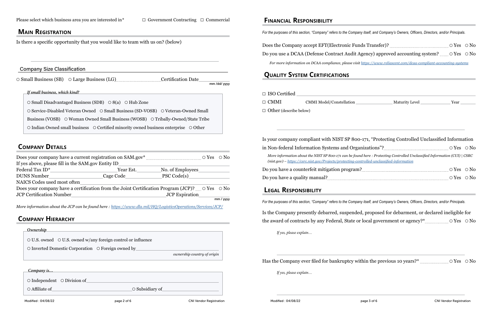### **Main Registration**

 $\overline{a}$ 

Is there a specific opportunity that you would like to team with us on? (below)

### Company Size Classification

mm /dd/ yyyy

*If small business, which kind?* 

○ Small Business (SB) ○ Large Business (LG) CHECHICAL Certification Date

○ Small Disadvantaged Business (SDB) ○ 8(a) ○ Hub Zone ○ Service-Disabled Veteran Owned ○ Small Business (SD-VOSB) ○ Veteran-Owned Small Business (VOSB) O Woman Owned Small Business (WOSB) O Tribally-Owned/State Tribe ○ Indian Owned small business ○ Certified minority owned business enterprise ○ Other

## **COMPANY DETAILS**

Does the Company accept EFT(Electronic Funds Transfer)? ○ Yes ○ No Do you use a DCAA (Defense Contract Audit Agency) approved accounting system? ○ Yes ○ No

| If yes above, please fill in the SAM.gov Entity ID                                                                 |                 |                       |             |
|--------------------------------------------------------------------------------------------------------------------|-----------------|-----------------------|-------------|
| Federal Tax ID <sup>*</sup>                                                                                        | Year Est.       | No. of Employees_     |             |
| <b>DUNS Number</b>                                                                                                 | _Cage Code_____ | PSC Code(s)           |             |
| NAICS Codes used most often                                                                                        |                 |                       |             |
| Does your company have a certification from the Joint Certification Program (JCP)? $\ldots$ $\circ$ Yes $\circ$ No |                 |                       |             |
| JCP Certification Number_                                                                                          |                 | <b>JCP</b> Expiration |             |
|                                                                                                                    |                 |                       | $mm /$ yyyy |

| $\Box$ ISO Certified          |                          |
|-------------------------------|--------------------------|
| $\Box$ CMMI                   | CMMI Model/Constellation |
| $\Box$ Other (describe below) |                          |

in Non-federal Information Systems and Organ *More information about the NIST SP 800-171 can be found (nist.gov) –https://csrc.nist.gov/Projects/protecting-controlled-information* 

Do you have a counterfeit mitigation program? Do you have a quality manual? <u>[</u>*[]*[*n*]  $\ldots$   $\ldots$   $\ldots$   $\ldots$   $\ldots$   $\ldots$   $\ldots$   $\ldots$   $\ldots$   $\ldots$   $\ldots$   $\ldots$   $\ldots$   $\ldots$   $\ldots$   $\ldots$   $\ldots$   $\ldots$   $\ldots$   $\ldots$   $\ldots$   $\ldots$   $\ldots$   $\ldots$   $\ldots$   $\ldots$   $\ldots$   $\ldots$   $\ldots$   $\ld$ 

*More information about the JCP can be found here : [https://www.dla.mil/HQ/LogisticsOperations/Services/JCP/](https://www.dla.mil/HQ/LogisticsOperations/Services/JCP/ )*

## **Company Hierarchy**

| Ownership                                                                |                             |
|--------------------------------------------------------------------------|-----------------------------|
| $\circ$ U.S. owned $\circ$ U.S. owned w/any foreign control or influence |                             |
| $\circ$ Inverted Domestic Corporation $\circ$ Foreign owned by           |                             |
|                                                                          | ownership country of origin |
|                                                                          |                             |

 *Company is…* 

○ Independent ○ Division of

○ Affiliate of ○ Subsidiary of

### **Financial Responsibility**

*For the purposes of this section, "Company" refers to the Company itself, and Company's Owners, Officers, Directors, and/or Principals.* 

*For more information on DCAA compliance, please visit<https://www.reliascent.com/dcaa-compliant-accounting-systems>*

## **Quality System Certifications**

### Is your company compliant with NIST SP 800-171, "Protecting Controlled Unclassified Information

| l here : Protecting Controlled Unclassified Information (CUI)   CSRC<br><u>trolled-unclassified-information</u> |  |
|-----------------------------------------------------------------------------------------------------------------|--|
|                                                                                                                 |  |
|                                                                                                                 |  |
|                                                                                                                 |  |

## **Legal Responsibility**

 $\overline{a}$ 

*For the purposes of this section, "Company" refers to the Company itself, and Company's Owners, Officers, Directors, and/or Principals.*

Is the Company presently debarred, suspended, proposed for debarment, or declared ineligible for the award of contracts by any Federal, State or local government or agency?\* ○ Yes ○ No

*If yes, please explain…*

Has the Company ever filed for bankruptcy within the previous 10 years?\*  $\ldots$   $\ldots$   $\ldots$   $\circ$  Yes  $\circ$  No

*If yes, please explain…*

 $\overline{a}$ 

 $\overline{a}$ 

Maturity Level Year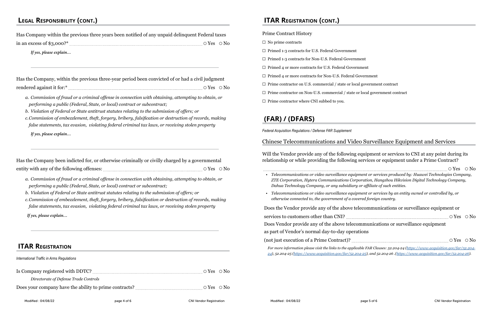# **Legal Responsibility (cont.)**

|                                       | Has Company within the previous three years been notified of any unpaid delinquent Federal taxes |                        |  |
|---------------------------------------|--------------------------------------------------------------------------------------------------|------------------------|--|
| in an excess of $$3,000$ <sup>*</sup> |                                                                                                  | $\circ$ Yes $\circ$ No |  |

*If yes, please explain…*

 $\overline{a}$ 

 $\overline{a}$ 

 $\overline{a}$ 

|                           | Has the Company, within the previous three-year period been convicted of or had a civil judgment |  |
|---------------------------|--------------------------------------------------------------------------------------------------|--|
| rendered against it for:* | $\circ$ Yes $\circ$ No                                                                           |  |

Has the Company been indicted for, or otherwise criminally or civilly charged by a governmental entity with any of the following offenses:  $\ldots$   $\ldots$   $\ldots$   $\ldots$   $\ldots$   $\ldots$   $\ldots$   $\ldots$   $\ldots$   $\ldots$   $\ldots$   $\ldots$   $\ldots$   $\ldots$   $\ldots$   $\ldots$   $\ldots$   $\ldots$   $\ldots$ 

*a. Commission of fraud or a criminal offense in connection with obtaining, attempting to obtain, or performing a public (Federal, State, or local) contract or subcontract;*

*b. Violation of Federal or State antitrust statutes relating to the submission of offers; or*

*c.Commission of embezzlement, theft, forgery, bribery, falsification or destruction of records, making false statements, tax evasion, violating federal criminal tax laws, or receiving stolen property*

*If yes, please explain…*

- $\Box$  No prime contracts
- ☐ Primed 1-3 contracts for U.S. Federal Government
- ☐ Primed 1-3 contracts for Non-U.S. Federal Government
- ☐ Primed 4 or more contracts for U.S. Federal Government
- ☐ Primed 4 or more contracts for Non-U.S. Federal Government
- ☐ Prime contractor on U.S. commercial / state or local government contract
- ☐ Prime contractor on Non-U.S. commercial / state or local government contract
- ☐ Prime contractor where CNI subbed to you.

*a. Commission of fraud or a criminal offense in connection with obtaining, attempting to obtain, or performing a public (Federal, State, or local) contract or subcontract;*

*b. Violation of Federal or State antitrust statutes relating to the submission of offers; or*

*c.Commission of embezzlement, theft, forgery, bribery, falsification or destruction of records, making false statements, tax evasion, violating federal criminal tax laws, or receiving stolen property*

*If yes, please explain…*

# **ITAR Registration**

*International Traffic in Arms Regulations*

| Directorate of Defense Trade Controls |  |
|---------------------------------------|--|
|                                       |  |

## **ITAR Registration (cont.)**

### Prime Contract History

# **(FAR) / (DFARS)**

*Federal Acquisition Regulations / Defense FAR Supplement*

### Chinese Telecommunications and Video Surveillance Equipment and Services

Will the Vendor provide any of the following equipment or services to CNI at any point during its relationship or while providing the following services or equipment under a Prime Contract?

• *Telecommunications or video surveillance equipment or services produced by: Helecommunications or video surveillance equipment ZTE Corporation, Hytera Communications Corporation, Hangzhou Hikvision Digital Technology Company, Dahua Technology Company, or any subsidiary or* 

**•** *Telecommunications or video surveillance equipment or services by an entity of the controlled by an entity of the controlled by an entity of the controlled by an entity of the controlled by an entity of the controlled otherwise connected to, the government of a cover* 

Does the Vendor provide any of the above telecommunications of the above equipment of  $\mathbf{C}$ 

services to customers other than CNI?

Does Vendor provide any of the above telecom-

as part of Vendor's normal day-to-day operations

(not just execution of a Prime Contract)?  $\ldots$ 

*For more information please visit the links to the applicable FAR Clauses: 52.204-24 ([https://www.acquisition.gov/far/52.204-](https://www.acquisition.gov/far/52.204-24) [24](https://www.acquisition.gov/far/52.204-24)), 52.204-25 (<https://www.acquisition.gov/far/52.204-25>), and 52.204-26 .[\(https://www.acquisition.gov/far/52.204-26\)](https://www.acquisition.gov/far/52.204-26).*

| ent or services produced by: Huawei Technologies Company,<br>ration, Hangzhou Hikvision Digital Technology Company,<br>r affiliate of such entities. |  |
|------------------------------------------------------------------------------------------------------------------------------------------------------|--|
| ent or services by an entity owned or controlled by, or<br>ed foreign country.                                                                       |  |
| communications or surveillance equipment or                                                                                                          |  |
|                                                                                                                                                      |  |
| munications or surveillance equipment                                                                                                                |  |
| ons                                                                                                                                                  |  |
|                                                                                                                                                      |  |